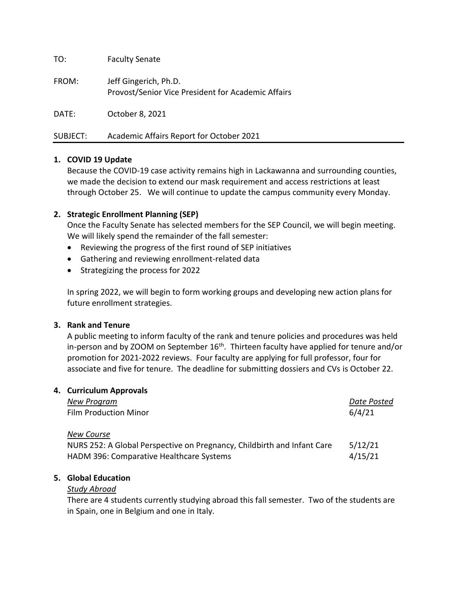TO: Faculty Senate

FROM: Jeff Gingerich, Ph.D. Provost/Senior Vice President for Academic Affairs

DATE: October 8, 2021

SUBJECT: Academic Affairs Report for October 2021

# **1. COVID 19 Update**

Because the COVID-19 case activity remains high in Lackawanna and surrounding counties, we made the decision to extend our mask requirement and access restrictions at least through October 25. We will continue to update the campus community every Monday.

# **2. Strategic Enrollment Planning (SEP)**

Once the Faculty Senate has selected members for the SEP Council, we will begin meeting. We will likely spend the remainder of the fall semester:

- Reviewing the progress of the first round of SEP initiatives
- Gathering and reviewing enrollment-related data
- Strategizing the process for 2022

In spring 2022, we will begin to form working groups and developing new action plans for future enrollment strategies.

## **3. Rank and Tenure**

A public meeting to inform faculty of the rank and tenure policies and procedures was held in-person and by ZOOM on September  $16<sup>th</sup>$ . Thirteen faculty have applied for tenure and/or promotion for 2021-2022 reviews. Four faculty are applying for full professor, four for associate and five for tenure. The deadline for submitting dossiers and CVs is October 22.

| 4. Curriculum Approvals                                                 |             |  |
|-------------------------------------------------------------------------|-------------|--|
| <b>New Program</b>                                                      | Date Posted |  |
| <b>Film Production Minor</b>                                            | 6/4/21      |  |
| <b>New Course</b>                                                       |             |  |
| NURS 252: A Global Perspective on Pregnancy, Childbirth and Infant Care | 5/12/21     |  |
| HADM 396: Comparative Healthcare Systems                                | 4/15/21     |  |

## **5. Global Education**

## *Study Abroad*

There are 4 students currently studying abroad this fall semester. Two of the students are in Spain, one in Belgium and one in Italy.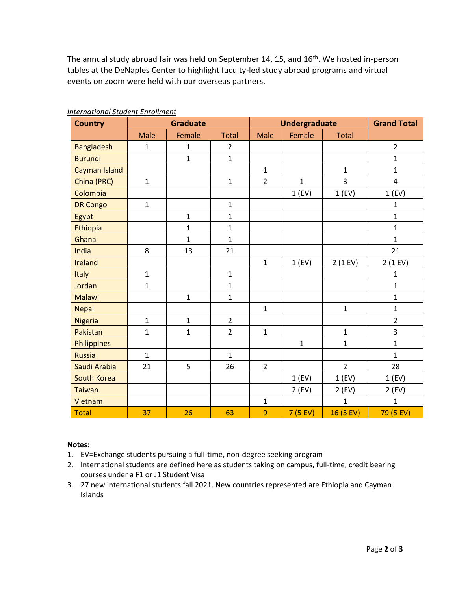The annual study abroad fair was held on September 14, 15, and 16<sup>th</sup>. We hosted in-person tables at the DeNaples Center to highlight faculty-led study abroad programs and virtual events on zoom were held with our overseas partners.

| <b>Country</b>       | <b>Graduate</b> |              |                | <b>Undergraduate</b> |              |                   | <b>Grand Total</b> |
|----------------------|-----------------|--------------|----------------|----------------------|--------------|-------------------|--------------------|
|                      | Male            | Female       | <b>Total</b>   | <b>Male</b>          | Female       | <b>Total</b>      |                    |
| <b>Bangladesh</b>    | $\mathbf{1}$    | $\mathbf{1}$ | $\overline{2}$ |                      |              |                   | $\overline{2}$     |
| <b>Burundi</b>       |                 | $\mathbf{1}$ | $\mathbf{1}$   |                      |              |                   | $\overline{1}$     |
| <b>Cayman Island</b> |                 |              |                | $\mathbf{1}$         |              | $\mathbf{1}$      | $\mathbf{1}$       |
| China (PRC)          | $\mathbf{1}$    |              | $\mathbf{1}$   | $\overline{2}$       | $\mathbf{1}$ | 3                 | 4                  |
| Colombia             |                 |              |                |                      | 1(FV)        | $1$ (EV)          | 1(FV)              |
| <b>DR Congo</b>      | $\mathbf{1}$    |              | $\mathbf 1$    |                      |              |                   | $\mathbf 1$        |
| Egypt                |                 | $\mathbf{1}$ | $\mathbf{1}$   |                      |              |                   | $\mathbf{1}$       |
| Ethiopia             |                 | $\mathbf{1}$ | $\mathbf{1}$   |                      |              |                   | $\mathbf{1}$       |
| Ghana                |                 | $\mathbf{1}$ | $\mathbf{1}$   |                      |              |                   | $\mathbf{1}$       |
| India                | 8               | 13           | 21             |                      |              |                   | 21                 |
| <b>Ireland</b>       |                 |              |                | $\mathbf 1$          | 1(FV)        | $2(1 \text{ EV})$ | $2(1 \text{ EV})$  |
| Italy                | $\mathbf{1}$    |              | $\mathbf{1}$   |                      |              |                   | $\mathbf 1$        |
| Jordan               | $\mathbf{1}$    |              | $\mathbf 1$    |                      |              |                   | $\mathbf{1}$       |
| <b>Malawi</b>        |                 | $\mathbf{1}$ | $\mathbf{1}$   |                      |              |                   | $\mathbf{1}$       |
| <b>Nepal</b>         |                 |              |                | $\mathbf{1}$         |              | $\mathbf 1$       | $\mathbf{1}$       |
| <b>Nigeria</b>       | $\mathbf{1}$    | $\mathbf{1}$ | $\overline{2}$ |                      |              |                   | $\overline{2}$     |
| Pakistan             | $\mathbf{1}$    | $\mathbf{1}$ | $\overline{2}$ | $\mathbf{1}$         |              | $\mathbf{1}$      | 3                  |
| Philippines          |                 |              |                |                      | $\mathbf{1}$ | $\mathbf{1}$      | $\mathbf{1}$       |
| <b>Russia</b>        | $\mathbf{1}$    |              | $\mathbf{1}$   |                      |              |                   | $\mathbf{1}$       |
| Saudi Arabia         | 21              | 5            | 26             | $\overline{2}$       |              | $\overline{2}$    | 28                 |
| South Korea          |                 |              |                |                      | 1(FV)        | $1$ (EV)          | 1(FV)              |
| <b>Taiwan</b>        |                 |              |                |                      | $2$ (EV)     | $2$ (EV)          | $2$ (EV)           |
| Vietnam              |                 |              |                | $\mathbf{1}$         |              | $\mathbf{1}$      | $\overline{1}$     |
| <b>Total</b>         | 37              | 26           | 63             | 9                    | 7(5 FV)      | 16 (5 EV)         | 79 (5 EV)          |

#### *International Student Enrollment*

#### **Notes:**

- 1. EV=Exchange students pursuing a full-time, non-degree seeking program
- 2. International students are defined here as students taking on campus, full-time, credit bearing courses under a F1 or J1 Student Visa
- 3. 27 new international students fall 2021. New countries represented are Ethiopia and Cayman Islands